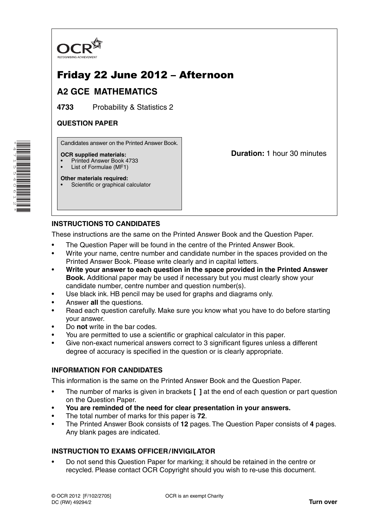

# Friday 22 June 2012 – Afternoon

## **A2 GCE MATHEMATICS**

**4733** Probability & Statistics 2

### **QUESTION PAPER**

Candidates answer on the Printed Answer Book.

#### **OCR supplied materials:**

- Printed Answer Book 4733
- List of Formulae (MF1)

**Other materials required:** Scientific or graphical calculator **Duration:** 1 hour 30 minutes

## **INSTRUCTIONS TO CANDIDATES**

These instructions are the same on the Printed Answer Book and the Question Paper.

- The Question Paper will be found in the centre of the Printed Answer Book.
- Write your name, centre number and candidate number in the spaces provided on the Printed Answer Book. Please write clearly and in capital letters.
- **Write your answer to each question in the space provided in the Printed Answer Book.** Additional paper may be used if necessary but you must clearly show your candidate number, centre number and question number(s).
- Use black ink. HB pencil may be used for graphs and diagrams only.
- Answer **all** the questions.
- Read each question carefully. Make sure you know what you have to do before starting your answer.
- Do **not** write in the bar codes.
- You are permitted to use a scientific or graphical calculator in this paper.
- Give non-exact numerical answers correct to 3 significant figures unless a different degree of accuracy is specified in the question or is clearly appropriate.

#### **INFORMATION FOR CANDIDATES**

This information is the same on the Printed Answer Book and the Question Paper.

- The number of marks is given in brackets **[ ]** at the end of each question or part question on the Question Paper.
- **You are reminded of the need for clear presentation in your answers.**
- The total number of marks for this paper is **72**.
- The Printed Answer Book consists of **12** pages. The Question Paper consists of **4** pages. Any blank pages are indicated.

### **INSTRUCTION TO EXAMS OFFICER / INVIGILATOR**

• Do not send this Question Paper for marking; it should be retained in the centre or recycled. Please contact OCR Copyright should you wish to re-use this document.

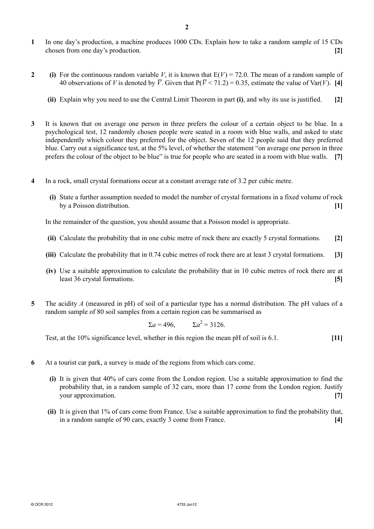- **1** In one day's production, a machine produces 1000 CDs. Explain how to take a random sample of 15 CDs chosen from one day's production. **[2]**
- **2** (i) For the continuous random variable *V*, it is known that  $E(V) = 72.0$ . The mean of a random sample of 40 observations of *V* is denoted by  $\overline{V}$ . Given that  $P(\overline{V} < 71.2) = 0.35$ , estimate the value of Var(*V*). [4]
	- **(ii)** Explain why you need to use the Central Limit Theorem in part **(i)**, and why its use is justified. **[2]**
- **3** It is known that on average one person in three prefers the colour of a certain object to be blue. In a psychological test, 12 randomly chosen people were seated in a room with blue walls, and asked to state independently which colour they preferred for the object. Seven of the 12 people said that they preferred blue. Carry out a significance test, at the 5% level, of whether the statement "on average one person in three prefers the colour of the object to be blue" is true for people who are seated in a room with blue walls. **[7]**
- **4** In a rock, small crystal formations occur at a constant average rate of 3.2 per cubic metre.
	- **(i)** State a further assumption needed to model the number of crystal formations in a fixed volume of rock by a Poisson distribution. **[1]**

In the remainder of the question, you should assume that a Poisson model is appropriate.

- **(ii)** Calculate the probability that in one cubic metre of rock there are exactly 5 crystal formations. **[2]**
- **(iii)** Calculate the probability that in 0.74 cubic metres of rock there are at least 3 crystal formations. **[3]**
- **(iv)** Use a suitable approximation to calculate the probability that in 10 cubic metres of rock there are at least 36 crystal formations. **[5]**
- **5** The acidity *A* (measured in pH) of soil of a particular type has a normal distribution. The pH values of a random sample of 80 soil samples from a certain region can be summarised as

$$
\Sigma a = 496, \qquad \Sigma a^2 = 3126.
$$

Test, at the 10% significance level, whether in this region the mean pH of soil is 6.1. **[11]**

- **6** At a tourist car park, a survey is made of the regions from which cars come.
	- **(i)** It is given that 40% of cars come from the London region. Use a suitable approximation to find the probability that, in a random sample of 32 cars, more than 17 come from the London region. Justify your approximation. **[7]**
	- **(ii)** It is given that 1% of cars come from France. Use a suitable approximation to find the probability that, in a random sample of 90 cars, exactly 3 come from France. **[4]**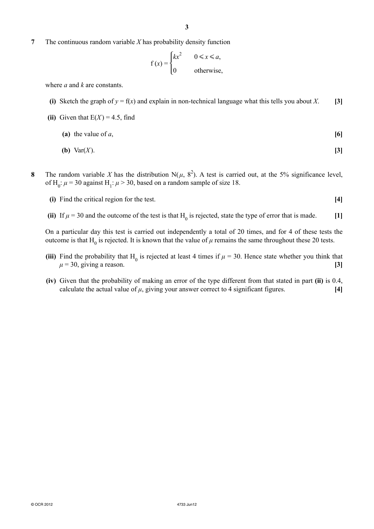**7** The continuous random variable *X* has probability density function

$$
f(x) = \begin{cases} kx^2 & 0 \le x \le a, \\ 0 & \text{otherwise,} \end{cases}
$$

where *a* and *k* are constants.

**(i)** Sketch the graph of  $y = f(x)$  and explain in non-technical language what this tells you about *X*. [3]

(ii) Given that 
$$
E(X) = 4.5
$$
, find

- **(a)** the value of *a*,  $[6]$
- **(b)** Var(*X* ). **[3]**
- **8** The random variable *X* has the distribution N( $\mu$ , 8<sup>2</sup>). A test is carried out, at the 5% significance level, of H<sub>0</sub>:  $\mu$  = 30 against H<sub>1</sub>:  $\mu$  > 30, based on a random sample of size 18.
	- **(i)** Find the critical region for the test. **[4]**
- (ii) If  $\mu = 30$  and the outcome of the test is that H<sub>0</sub> is rejected, state the type of error that is made. [1]

On a particular day this test is carried out independently a total of 20 times, and for 4 of these tests the outcome is that  $H_0$  is rejected. It is known that the value of  $\mu$  remains the same throughout these 20 tests.

- (iii) Find the probability that H<sub>0</sub> is rejected at least 4 times if  $\mu$  = 30. Hence state whether you think that  $\mu = 30$ , giving a reason. **[3]** 
	- **(iv)** Given that the probability of making an error of the type different from that stated in part **(ii)** is 0.4, calculate the actual value of  $\mu$ , giving your answer correct to 4 significant figures.  $[4]$